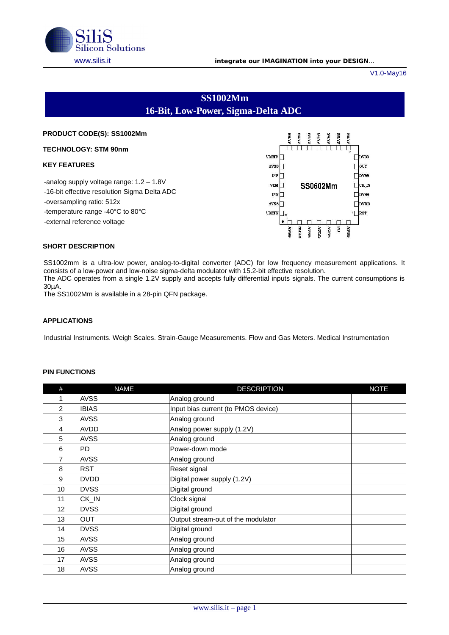

#### [www.silis.it](http://www.silis.it/) **integrate our IMAGINATION into your DESIGN**...

V1.0-May16

 $\square$ bvss  $\square$ out  $\square$ bvss  $\Box$ CK\_IN

 $\square$ bvss  $\Box$ bVDD  $\sqrt{\phantom{a}}$ RST

**RAN** F

# **SS1002Mm 16-Bit, Low-Power, Sigma-Delta ADC**

| 1733<br><b>LV88</b><br><b>AVSS</b><br>1788<br>V <sub>88</sub> |
|---------------------------------------------------------------|
|                                                               |
| <b>VREFP</b>                                                  |
| AV66                                                          |
| $_{\rm INP}$                                                  |
| <b>VCM</b><br>SS0602Mm                                        |
| <b>INN</b>                                                    |
| A766                                                          |
| <b>VREFN</b>                                                  |
|                                                               |
| 5809<br><b>BLAS</b><br><b>PASS</b><br>uun v<br><b>ROSS</b>    |
|                                                               |

#### **SHORT DESCRIPTION**

SS1002mm is a ultra-low power, analog-to-digital converter (ADC) for low frequency measurement applications. It consists of a low-power and low-noise sigma-delta modulator with 15.2-bit effective resolution. The ADC operates from a single 1.2V supply and accepts fully differential inputs signals. The current consumptions is 30µA.

The SS1002Mm is available in a 28-pin QFN package.

### **APPLICATIONS**

Industrial Instruments. Weigh Scales. Strain-Gauge Measurements. Flow and Gas Meters. Medical Instrumentation

#### **PIN FUNCTIONS**

| #  | <b>NAME</b>  | <b>DESCRIPTION</b>                  | <b>NOTE</b> |
|----|--------------|-------------------------------------|-------------|
| 1  | <b>AVSS</b>  | Analog ground                       |             |
| 2  | <b>IBIAS</b> | Input bias current (to PMOS device) |             |
| 3  | <b>AVSS</b>  | Analog ground                       |             |
| 4  | <b>AVDD</b>  | Analog power supply (1.2V)          |             |
| 5  | <b>AVSS</b>  | Analog ground                       |             |
| 6  | <b>PD</b>    | Power-down mode                     |             |
| 7  | <b>AVSS</b>  | Analog ground                       |             |
| 8  | <b>RST</b>   | Reset signal                        |             |
| 9  | <b>DVDD</b>  | Digital power supply (1.2V)         |             |
| 10 | <b>DVSS</b>  | Digital ground                      |             |
| 11 | CK IN        | Clock signal                        |             |
| 12 | <b>DVSS</b>  | Digital ground                      |             |
| 13 | <b>OUT</b>   | Output stream-out of the modulator  |             |
| 14 | <b>DVSS</b>  | Digital ground                      |             |
| 15 | <b>AVSS</b>  | Analog ground                       |             |
| 16 | <b>AVSS</b>  | Analog ground                       |             |
| 17 | <b>AVSS</b>  | Analog ground                       |             |
| 18 | <b>AVSS</b>  | Analog ground                       |             |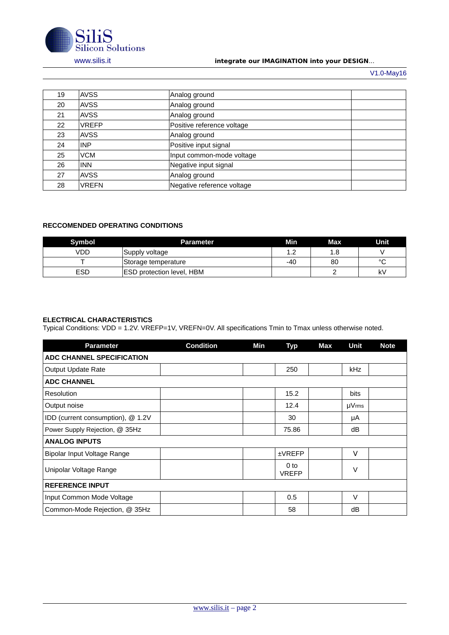

## [www.silis.it](http://www.silis.it/) **integrate our IMAGINATION into your DESIGN**...

V1.0-May16

| 19 | <b>AVSS</b>  | Analog ground              |  |
|----|--------------|----------------------------|--|
| 20 | <b>AVSS</b>  | Analog ground              |  |
| 21 | <b>AVSS</b>  | Analog ground              |  |
| 22 | <b>VREFP</b> | Positive reference voltage |  |
| 23 | <b>AVSS</b>  | Analog ground              |  |
| 24 | INP          | Positive input signal      |  |
| 25 | <b>VCM</b>   | Input common-mode voltage  |  |
| 26 | <b>INN</b>   | Negative input signal      |  |
| 27 | <b>AVSS</b>  | Analog ground              |  |
| 28 | <b>VREFN</b> | Negative reference voltage |  |

## **RECCOMENDED OPERATING CONDITIONS**

| <b>Symbol</b> | Parameter                        | Min | Max | Unit         |
|---------------|----------------------------------|-----|-----|--------------|
| VDD           | Supply voltage                   | ∸∙  | 1.8 |              |
|               | Storage temperature              | -40 | 80  | $\circ$<br>╰ |
| <b>ESD</b>    | <b>ESD protection level, HBM</b> |     |     | k٧           |

## **ELECTRICAL CHARACTERISTICS**

Typical Conditions: VDD = 1.2V. VREFP=1V, VREFN=0V. All specifications Tmin to Tmax unless otherwise noted.

| <b>Parameter</b>                  | <b>Condition</b> | Min | <b>Typ</b>           | Max | Unit        | <b>Note</b> |
|-----------------------------------|------------------|-----|----------------------|-----|-------------|-------------|
| ADC CHANNEL SPECIFICATION         |                  |     |                      |     |             |             |
| Output Update Rate                |                  |     | 250                  |     | <b>kHz</b>  |             |
| <b>ADC CHANNEL</b>                |                  |     |                      |     |             |             |
| Resolution                        |                  |     | 15.2                 |     | bits        |             |
| Output noise                      |                  |     | 12.4                 |     | $\mu V$ rms |             |
| IDD (current consumption), @ 1.2V |                  |     | 30                   |     | μA          |             |
| Power Supply Rejection, @ 35Hz    |                  |     | 75.86                |     | dB          |             |
| <b>ANALOG INPUTS</b>              |                  |     |                      |     |             |             |
| Bipolar Input Voltage Range       |                  |     | <b>±VREFP</b>        |     | $\vee$      |             |
| Unipolar Voltage Range            |                  |     | 0 to<br><b>VREFP</b> |     | V           |             |
| <b>REFERENCE INPUT</b>            |                  |     |                      |     |             |             |
| Input Common Mode Voltage         |                  |     | 0.5                  |     | $\vee$      |             |
| Common-Mode Rejection, @ 35Hz     |                  |     | 58                   |     | dB          |             |